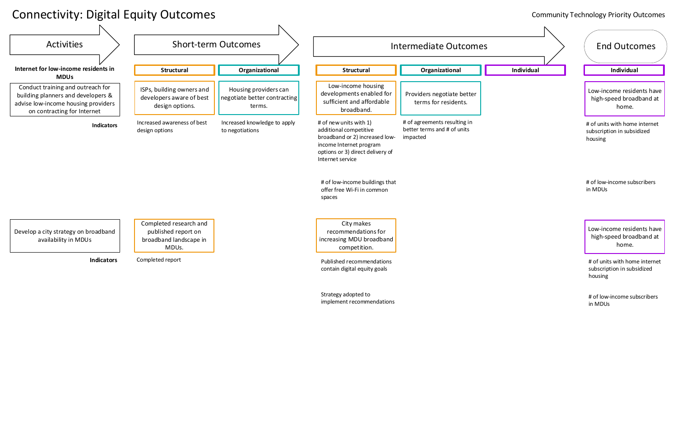Low-income residents have high-speed broadband at home.

## Connectivity: Digital Equity Outcomes



Strategy adopted to implement recommendations

### Community Technology Priority Outcomes

Low-income residents have high-speed broadband at home.

# of units with home internet subscription in subsidized housing

# of low-income subscribers in MDUs

# of units with home internet subscription in subsidized housing

# of low-income subscribers in MDUs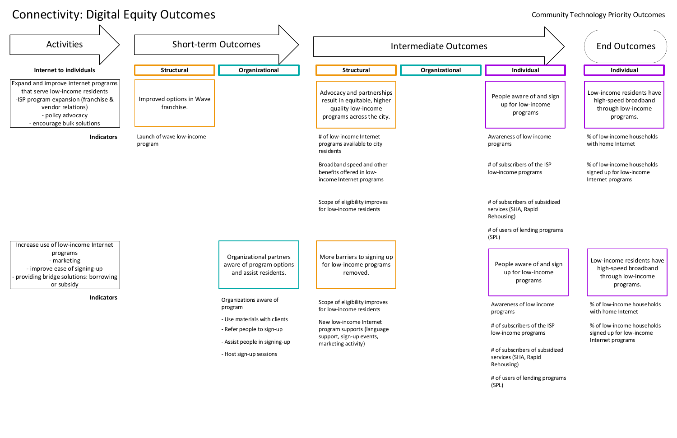## Connectivity: Digital Equity Outcomes

### Community Technology Priority Outcomes

Low-income residents have high-speed broadband through low-income programs.

People aware of and sign up for low-income programs

Awareness of low income programs

# of subscribers of the ISP low-income programs

# of subscribers of subsidized services (SHA, Rapid Rehousing)

# of users of lending programs



% of low-income households signed up for low-income Internet programs

% of low-income households with home Internet

Low-income residents have high-speed broadband through low-income programs.

People aware of and sign up for low-income programs

Awareness of low income programs

# of subscribers of the ISP low-income programs

# of subscribers of subsidized services (SHA, Rapid Rehousing)

# of users of lending programs (SPL)

% of low-income households signed up for low-income Internet programs

% of low-income households with home Internet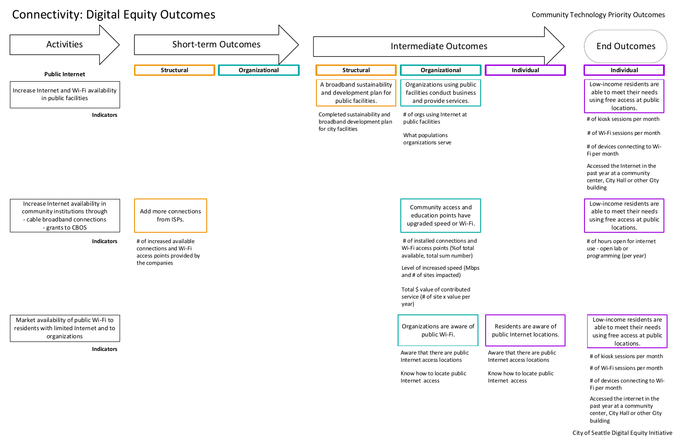Low-income residents are able to meet their needs using free access at public locations.

City of Seattle Digital Equity Initiative

## Connectivity: Digital Equity Outcomes

### Community Technology Priority Outcomes



# of kiosk sessions per month

# of Wi-Fi sessions per month

Accessed the Internet in the past year at a community center, City Hall or other City building

# of devices connecting to Wi-Fi per month

Low-income residents are able to meet their needs using free access at public locations.

# of hours open for internet use - open lab or programming (per year)

Low-income residents are able to meet their needs using free access at public locations.

# of kiosk sessions per month

# of Wi-Fi sessions per month

Accessed the internet in the past year at a community center, City Hall or other City building

# of devices connecting to Wi-Fi per month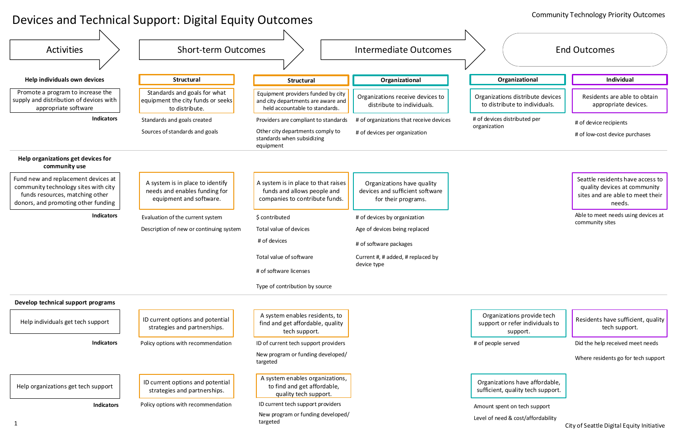Residents are able to obtain appropriate devices.

# Devices and Technical Support: Digital Equity Outcomes

Seattle residents have access to quality devices at community sites and are able to meet their needs.

# of devices distributed per

# of device recipients

# of low-cost device purchases



Able to meet needs using devices at community sites

### Community Technology Priority Outcomes

Organizations provide tech support or refer individuals to support.

Residents have sufficient, quality tech support.

# of people served Did the help received meet needs

Organizations have affordable, sufficient, quality tech support. Where residents go for tech support

Amount spent on tech support

Level of need & cost/affordability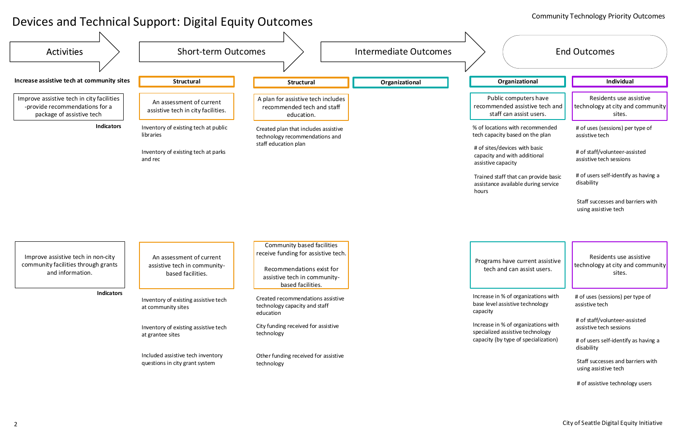# Devices and Technical Support: Digital Equity Outcomes

### Community Technology Priority Outcomes

Programs have current assistive tech and can assist users.

Residents use assistive technology at city and community sites.



Public computers have recommended assistive tech and staff can assist users.

% of locations with recommended tech capacity based on the plan

# of sites/devices with basic capacity and with additional

Trained staff that can provide basic assistance available during service

Residents use assistive technology at city and community sites.

# of assistive technology users

Increase in % of organizations with base level assistive technology

Increase in % of organizations with specialized assistive technology capacity (by type of specialization)

# of uses (sessions) per type of assistive tech

# of staff/volunteer-assisted assistive tech sessions

# of users self-identify as having a disability

Staff successes and barriers with using assistive tech

assistive tech

# of staff/volunteer-assisted assistive tech sessions

# of users self-identify as having a disability

Staff successes and barriers with using assistive tech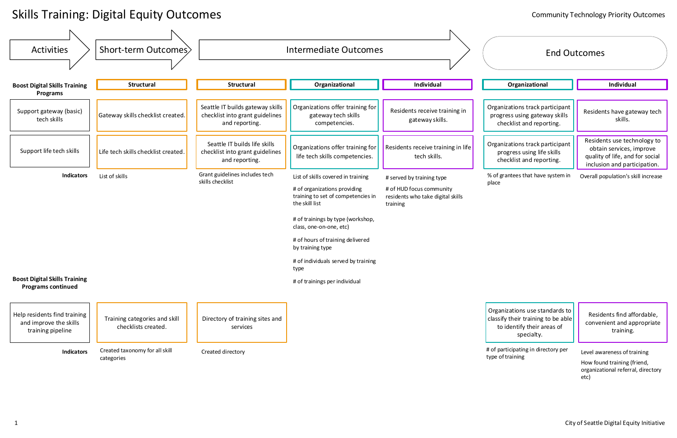# Skills Training: Digital Equity Outcomes



How found training (friend, organizational referral, directory etc)